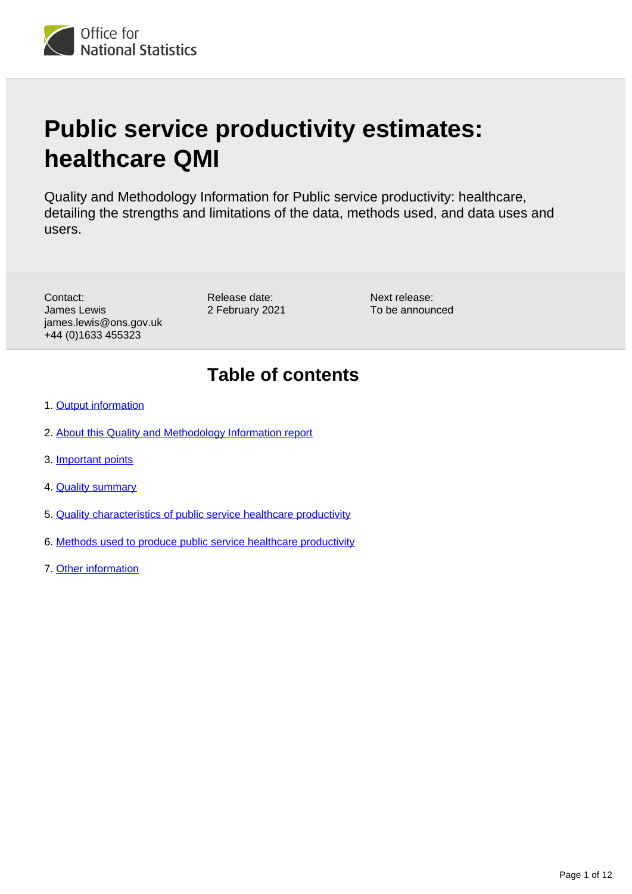# **Public service productivity estimates: healthcare QMI**

Quality and Methodology Information for Public service productivity: healthcare, detailing the strengths and limitations of the data, methods used, and data uses and users.

Contact: James Lewis james.lewis@ons.gov.uk +44 (0)1633 455323

Release date: 2 February 2021

Next release: To be announced

# **Table of contents**

- 1. [Output information](#page-1-0)
- 2. [About this Quality and Methodology Information report](#page-1-1)
- 3. [Important points](#page-1-2)
- 4. **[Quality summary](#page-2-0)**
- 5. [Quality characteristics of public service healthcare productivity](#page-5-0)
- 6. [Methods used to produce public service healthcare productivity](#page-8-0)
- 7. [Other information](#page-11-0)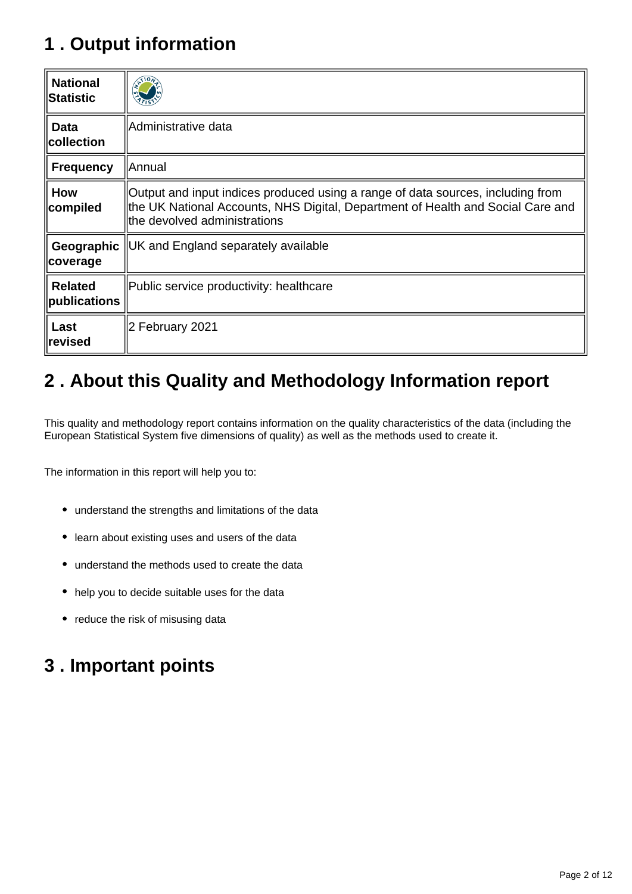# <span id="page-1-0"></span>**1 . Output information**

| <b>National</b><br><b>∥Statistic</b> |                                                                                                                                                                                                    |
|--------------------------------------|----------------------------------------------------------------------------------------------------------------------------------------------------------------------------------------------------|
| <b>Data</b><br>$\ $ collection       | Administrative data                                                                                                                                                                                |
| <b>Frequency</b>                     | Annual                                                                                                                                                                                             |
| <b>How</b><br>compiled               | Output and input indices produced using a range of data sources, including from<br>the UK National Accounts, NHS Digital, Department of Health and Social Care and<br>the devolved administrations |
| Geographic   <br>∥coverage           | UK and England separately available                                                                                                                                                                |
| <b>Related</b><br>$\ $ publications  | Public service productivity: healthcare                                                                                                                                                            |
| Last<br>∥revised                     | 2 February 2021                                                                                                                                                                                    |

# <span id="page-1-1"></span>**2 . About this Quality and Methodology Information report**

This quality and methodology report contains information on the quality characteristics of the data (including the European Statistical System five dimensions of quality) as well as the methods used to create it.

The information in this report will help you to:

- understand the strengths and limitations of the data
- learn about existing uses and users of the data
- understand the methods used to create the data
- help you to decide suitable uses for the data
- reduce the risk of misusing data

# <span id="page-1-2"></span>**3 . Important points**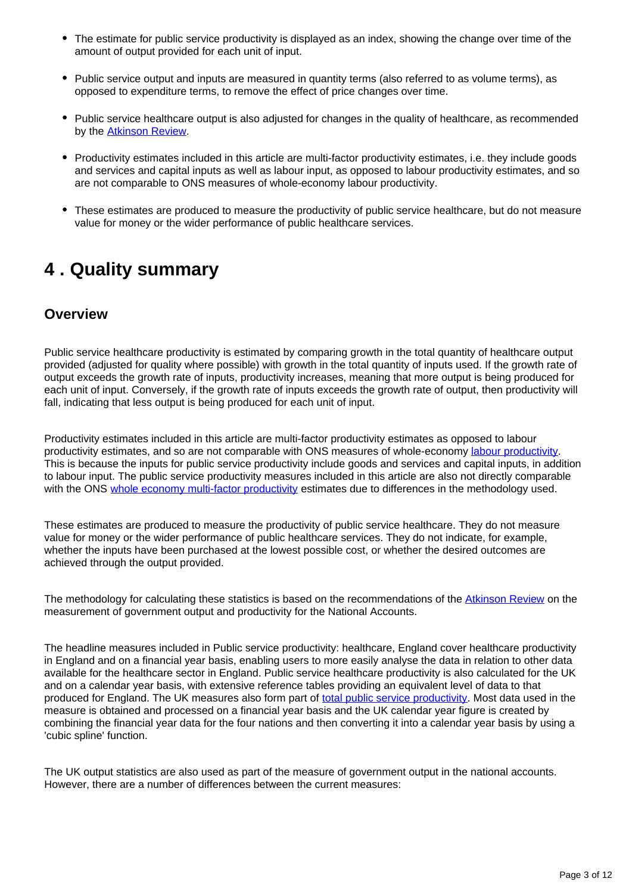- The estimate for public service productivity is displayed as an index, showing the change over time of the amount of output provided for each unit of input.
- Public service output and inputs are measured in quantity terms (also referred to as volume terms), as opposed to expenditure terms, to remove the effect of price changes over time.
- Public service healthcare output is also adjusted for changes in the quality of healthcare, as recommended by the [Atkinson Review.](http://www.ons.gov.uk/ons/guide-method/method-quality/specific/public-sector-methodology/articles/atkinson-review-final-report.pdf)
- Productivity estimates included in this article are multi-factor productivity estimates, i.e. they include goods and services and capital inputs as well as labour input, as opposed to labour productivity estimates, and so are not comparable to ONS measures of whole-economy labour productivity.
- These estimates are produced to measure the productivity of public service healthcare, but do not measure value for money or the wider performance of public healthcare services.

# <span id="page-2-0"></span>**4 . Quality summary**

#### **Overview**

Public service healthcare productivity is estimated by comparing growth in the total quantity of healthcare output provided (adjusted for quality where possible) with growth in the total quantity of inputs used. If the growth rate of output exceeds the growth rate of inputs, productivity increases, meaning that more output is being produced for each unit of input. Conversely, if the growth rate of inputs exceeds the growth rate of output, then productivity will fall, indicating that less output is being produced for each unit of input.

Productivity estimates included in this article are multi-factor productivity estimates as opposed to labour productivity estimates, and so are not comparable with ONS measures of whole-economy [labour productivity.](https://www.ons.gov.uk/employmentandlabourmarket/peopleinwork/labourproductivity/articles/ukproductivityintroduction/julytoseptember2020) This is because the inputs for public service productivity include goods and services and capital inputs, in addition to labour input. The public service productivity measures included in this article are also not directly comparable with the ONS [whole economy multi-factor productivity](https://www.ons.gov.uk/economy/economicoutputandproductivity/productivitymeasures/articles/multifactorproductivityestimates/experimentalestimatesto2014) estimates due to differences in the methodology used.

These estimates are produced to measure the productivity of public service healthcare. They do not measure value for money or the wider performance of public healthcare services. They do not indicate, for example, whether the inputs have been purchased at the lowest possible cost, or whether the desired outcomes are achieved through the output provided.

The methodology for calculating these statistics is based on the recommendations of the [Atkinson Review](http://www.ons.gov.uk/ons/guide-method/method-quality/specific/public-sector-methodology/articles/atkinson-review-final-report.pdf) on the measurement of government output and productivity for the National Accounts.

The headline measures included in Public service productivity: healthcare, England cover healthcare productivity in England and on a financial year basis, enabling users to more easily analyse the data in relation to other data available for the healthcare sector in England. Public service healthcare productivity is also calculated for the UK and on a calendar year basis, with extensive reference tables providing an equivalent level of data to that produced for England. The UK measures also form part of [total public service productivity](https://www.ons.gov.uk/economy/economicoutputandproductivity/publicservicesproductivity/articles/publicservicesproductivityestimatestotalpublicservices/totaluk2017). Most data used in the measure is obtained and processed on a financial year basis and the UK calendar year figure is created by combining the financial year data for the four nations and then converting it into a calendar year basis by using a 'cubic spline' function.

The UK output statistics are also used as part of the measure of government output in the national accounts. However, there are a number of differences between the current measures: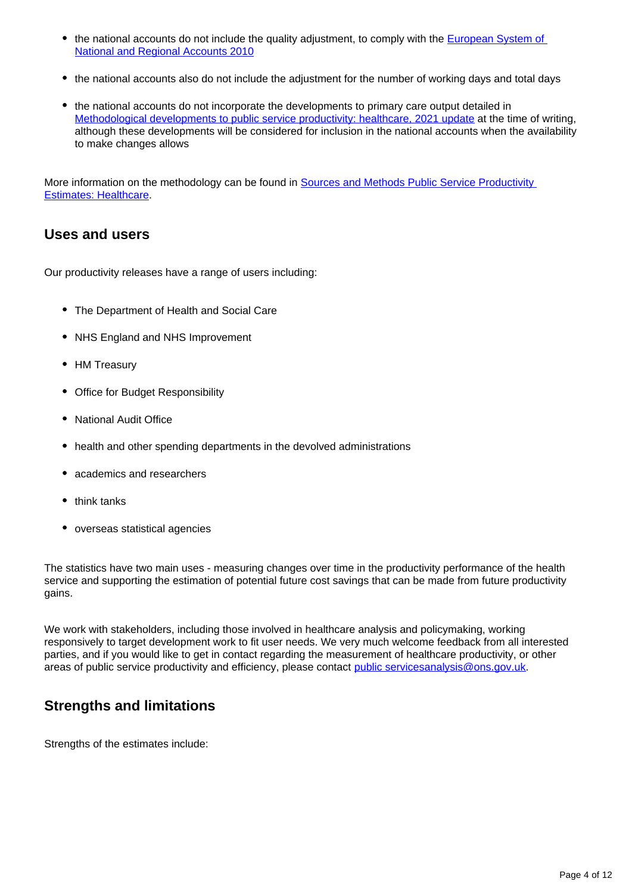- the national accounts do not include the quality adjustment, to comply with the **European System of** [National and Regional Accounts 2010](http://ec.europa.eu/eurostat/web/esa-2010)
- the national accounts also do not include the adjustment for the number of working days and total days
- the national accounts do not incorporate the developments to primary care output detailed in [Methodological developments to public service productivity: healthcare, 2021 update](https://www.ons.gov.uk/economy/economicoutputandproductivity/publicservicesproductivity/methodologies/methodologicaldevelopmentstopublicserviceproductivityhealthcare2021update) at the time of writing, although these developments will be considered for inclusion in the national accounts when the availability to make changes allows

More information on the methodology can be found in [Sources and Methods Public Service Productivity](http://www.ons.gov.uk/ons/guide-method/method-quality/specific/public-sector-methodology/articles/public-service-productivity-estimates--healthcare.pdf)  [Estimates: Healthcare](http://www.ons.gov.uk/ons/guide-method/method-quality/specific/public-sector-methodology/articles/public-service-productivity-estimates--healthcare.pdf).

#### **Uses and users**

Our productivity releases have a range of users including:

- The Department of Health and Social Care
- NHS England and NHS Improvement
- HM Treasury
- Office for Budget Responsibility
- National Audit Office
- health and other spending departments in the devolved administrations
- academics and researchers
- $\bullet$  think tanks
- overseas statistical agencies

The statistics have two main uses - measuring changes over time in the productivity performance of the health service and supporting the estimation of potential future cost savings that can be made from future productivity gains.

We work with stakeholders, including those involved in healthcare analysis and policymaking, working responsively to target development work to fit user needs. We very much welcome feedback from all interested parties, and if you would like to get in contact regarding the measurement of healthcare productivity, or other areas of public service productivity and efficiency, please contact public services analysis@ons.gov.uk.

### **Strengths and limitations**

Strengths of the estimates include: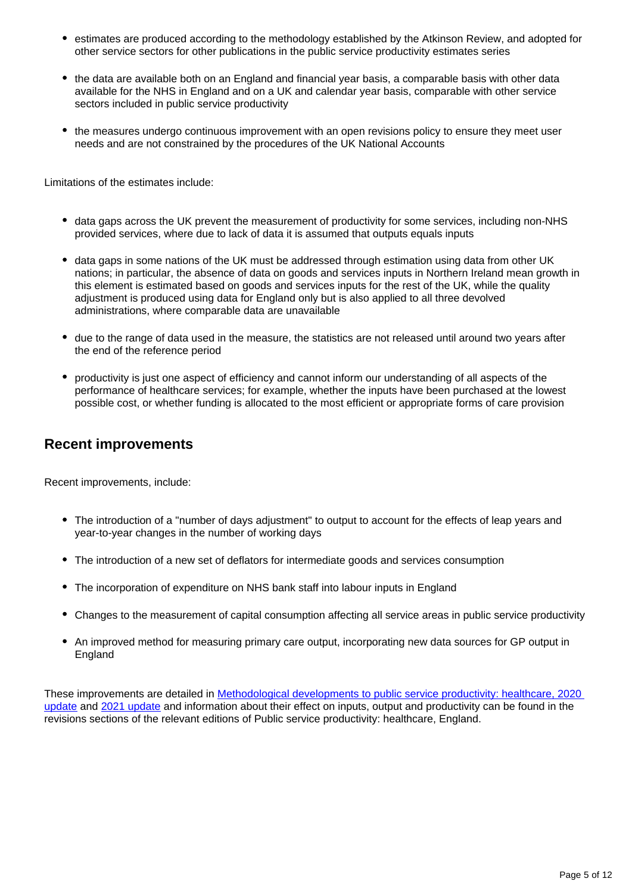- estimates are produced according to the methodology established by the Atkinson Review, and adopted for other service sectors for other publications in the public service productivity estimates series
- the data are available both on an England and financial year basis, a comparable basis with other data available for the NHS in England and on a UK and calendar year basis, comparable with other service sectors included in public service productivity
- the measures undergo continuous improvement with an open revisions policy to ensure they meet user needs and are not constrained by the procedures of the UK National Accounts

Limitations of the estimates include:

- data gaps across the UK prevent the measurement of productivity for some services, including non-NHS provided services, where due to lack of data it is assumed that outputs equals inputs
- data gaps in some nations of the UK must be addressed through estimation using data from other UK nations; in particular, the absence of data on goods and services inputs in Northern Ireland mean growth in this element is estimated based on goods and services inputs for the rest of the UK, while the quality adjustment is produced using data for England only but is also applied to all three devolved administrations, where comparable data are unavailable
- due to the range of data used in the measure, the statistics are not released until around two years after the end of the reference period
- productivity is just one aspect of efficiency and cannot inform our understanding of all aspects of the performance of healthcare services; for example, whether the inputs have been purchased at the lowest possible cost, or whether funding is allocated to the most efficient or appropriate forms of care provision

#### **Recent improvements**

Recent improvements, include:

- The introduction of a "number of days adjustment" to output to account for the effects of leap years and year-to-year changes in the number of working days
- The introduction of a new set of deflators for intermediate goods and services consumption
- The incorporation of expenditure on NHS bank staff into labour inputs in England
- Changes to the measurement of capital consumption affecting all service areas in public service productivity
- An improved method for measuring primary care output, incorporating new data sources for GP output in England

These improvements are detailed in [Methodological developments to public service productivity: healthcare, 2020](https://www.ons.gov.uk/economy/economicoutputandproductivity/publicservicesproductivity/methodologies/methodologicaldevelopmentstopublicserviceproductivityhealthcare2020update)  [update](https://www.ons.gov.uk/economy/economicoutputandproductivity/publicservicesproductivity/methodologies/methodologicaldevelopmentstopublicserviceproductivityhealthcare2020update) and [2021 update](https://www.ons.gov.uk/economy/economicoutputandproductivity/publicservicesproductivity/methodologies/methodologicaldevelopmentstopublicserviceproductivityhealthcare2021update) and information about their effect on inputs, output and productivity can be found in the revisions sections of the relevant editions of Public service productivity: healthcare, England.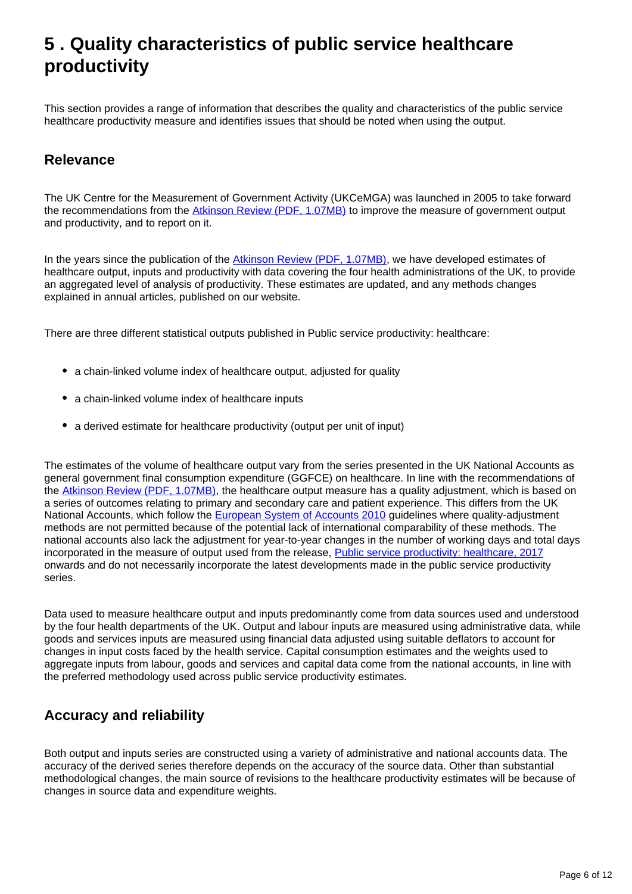# <span id="page-5-0"></span>**5 . Quality characteristics of public service healthcare productivity**

This section provides a range of information that describes the quality and characteristics of the public service healthcare productivity measure and identifies issues that should be noted when using the output.

### **Relevance**

The UK Centre for the Measurement of Government Activity (UKCeMGA) was launched in 2005 to take forward the recommendations from the [Atkinson Review \(PDF, 1.07MB\)](http://www.ons.gov.uk/ons/guide-method/method-quality/specific/public-sector-methodology/articles/atkinson-review-final-report.pdf) to improve the measure of government output and productivity, and to report on it.

In the years since the publication of the [Atkinson Review \(PDF, 1.07MB\)](http://www.ons.gov.uk/ons/guide-method/method-quality/specific/public-sector-methodology/articles/atkinson-review-final-report.pdf), we have developed estimates of healthcare output, inputs and productivity with data covering the four health administrations of the UK, to provide an aggregated level of analysis of productivity. These estimates are updated, and any methods changes explained in annual articles, published on our website.

There are three different statistical outputs published in Public service productivity: healthcare:

- a chain-linked volume index of healthcare output, adjusted for quality
- a chain-linked volume index of healthcare inputs
- a derived estimate for healthcare productivity (output per unit of input)

The estimates of the volume of healthcare output vary from the series presented in the UK National Accounts as general government final consumption expenditure (GGFCE) on healthcare. In line with the recommendations of the [Atkinson Review \(PDF, 1.07MB\),](http://www.ons.gov.uk/ons/guide-method/method-quality/specific/public-sector-methodology/articles/atkinson-review-final-report.pdf) the healthcare output measure has a quality adjustment, which is based on a series of outcomes relating to primary and secondary care and patient experience. This differs from the UK National Accounts, which follow the [European System of Accounts 2010](http://ec.europa.eu/eurostat/web/esa-2010) guidelines where quality-adjustment methods are not permitted because of the potential lack of international comparability of these methods. The national accounts also lack the adjustment for year-to-year changes in the number of working days and total days incorporated in the measure of output used from the release, [Public service productivity: healthcare, 2017](https://www.ons.gov.uk/releases/publicserviceproductivityhealthcare2017) onwards and do not necessarily incorporate the latest developments made in the public service productivity series.

Data used to measure healthcare output and inputs predominantly come from data sources used and understood by the four health departments of the UK. Output and labour inputs are measured using administrative data, while goods and services inputs are measured using financial data adjusted using suitable deflators to account for changes in input costs faced by the health service. Capital consumption estimates and the weights used to aggregate inputs from labour, goods and services and capital data come from the national accounts, in line with the preferred methodology used across public service productivity estimates.

#### **Accuracy and reliability**

Both output and inputs series are constructed using a variety of administrative and national accounts data. The accuracy of the derived series therefore depends on the accuracy of the source data. Other than substantial methodological changes, the main source of revisions to the healthcare productivity estimates will be because of changes in source data and expenditure weights.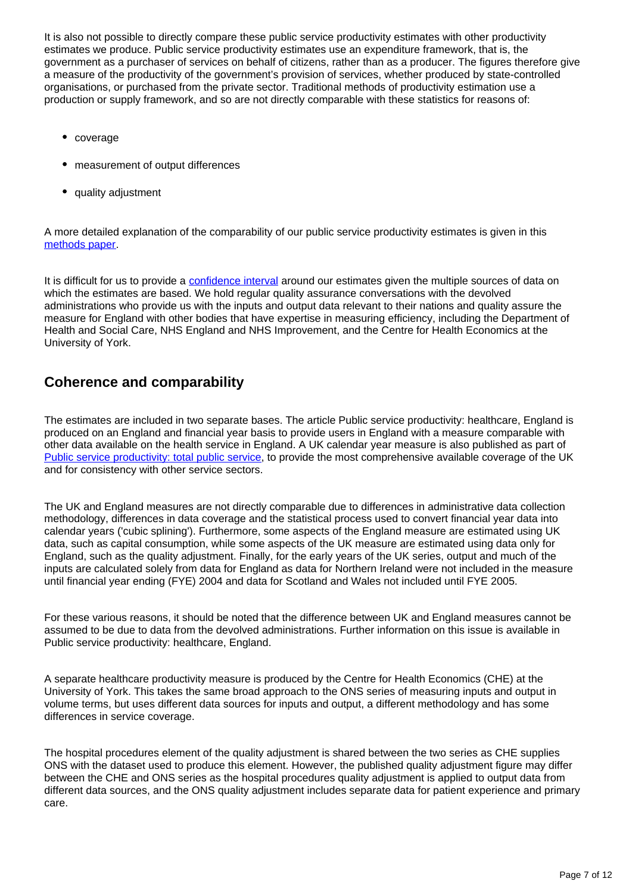It is also not possible to directly compare these public service productivity estimates with other productivity estimates we produce. Public service productivity estimates use an expenditure framework, that is, the government as a purchaser of services on behalf of citizens, rather than as a producer. The figures therefore give a measure of the productivity of the government's provision of services, whether produced by state-controlled organisations, or purchased from the private sector. Traditional methods of productivity estimation use a production or supply framework, and so are not directly comparable with these statistics for reasons of:

- coverage
- measurement of output differences
- quality adjustment

A more detailed explanation of the comparability of our public service productivity estimates is given in this [methods paper](https://www.ons.gov.uk/economy/economicoutputandproductivity/publicservicesproductivity/methodologies/howtocompareandinterpretonsproductivitymeasures).

It is difficult for us to provide a [confidence interval](https://www.ons.gov.uk/methodology/methodologytopicsandstatisticalconcepts/uncertaintyandhowwemeasureit#confidence-interval) around our estimates given the multiple sources of data on which the estimates are based. We hold regular quality assurance conversations with the devolved administrations who provide us with the inputs and output data relevant to their nations and quality assure the measure for England with other bodies that have expertise in measuring efficiency, including the Department of Health and Social Care, NHS England and NHS Improvement, and the Centre for Health Economics at the University of York.

### **Coherence and comparability**

The estimates are included in two separate bases. The article Public service productivity: healthcare, England is produced on an England and financial year basis to provide users in England with a measure comparable with other data available on the health service in England. A UK calendar year measure is also published as part of [Public service productivity: total public service](https://www.ons.gov.uk/economy/economicoutputandproductivity/publicservicesproductivity/articles/publicservicesproductivityestimatestotalpublicservices/totaluk2017), to provide the most comprehensive available coverage of the UK and for consistency with other service sectors.

The UK and England measures are not directly comparable due to differences in administrative data collection methodology, differences in data coverage and the statistical process used to convert financial year data into calendar years ('cubic splining'). Furthermore, some aspects of the England measure are estimated using UK data, such as capital consumption, while some aspects of the UK measure are estimated using data only for England, such as the quality adjustment. Finally, for the early years of the UK series, output and much of the inputs are calculated solely from data for England as data for Northern Ireland were not included in the measure until financial year ending (FYE) 2004 and data for Scotland and Wales not included until FYE 2005.

For these various reasons, it should be noted that the difference between UK and England measures cannot be assumed to be due to data from the devolved administrations. Further information on this issue is available in Public service productivity: healthcare, England.

A separate healthcare productivity measure is produced by the Centre for Health Economics (CHE) at the University of York. This takes the same broad approach to the ONS series of measuring inputs and output in volume terms, but uses different data sources for inputs and output, a different methodology and has some differences in service coverage.

The hospital procedures element of the quality adjustment is shared between the two series as CHE supplies ONS with the dataset used to produce this element. However, the published quality adjustment figure may differ between the CHE and ONS series as the hospital procedures quality adjustment is applied to output data from different data sources, and the ONS quality adjustment includes separate data for patient experience and primary care.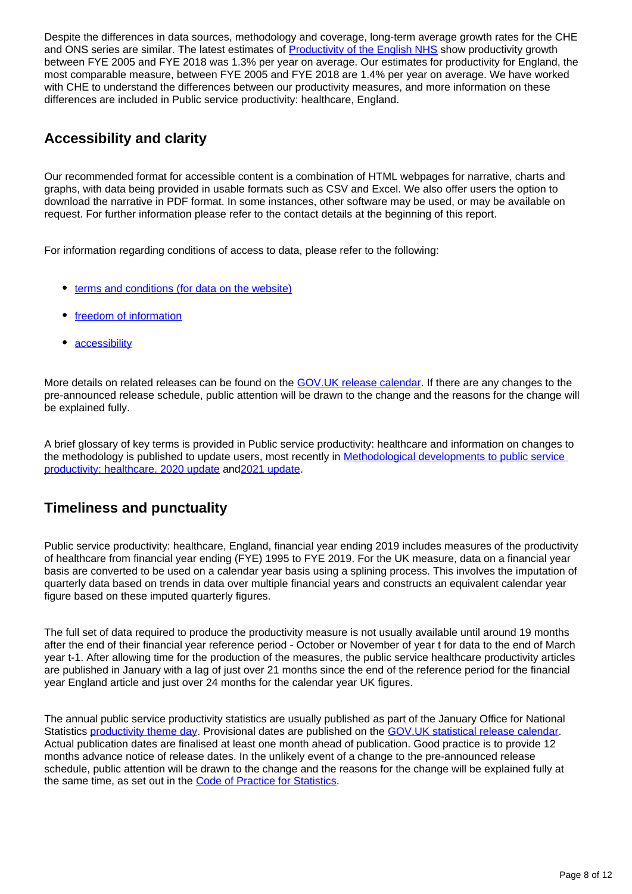Despite the differences in data sources, methodology and coverage, long-term average growth rates for the CHE and ONS series are similar. The latest estimates of **[Productivity of the English NHS](https://www.york.ac.uk/media/che/documents/papers/researchpapers/CHERP171_NHS_productivity_update2017_18.pdf)** show productivity growth between FYE 2005 and FYE 2018 was 1.3% per year on average. Our estimates for productivity for England, the most comparable measure, between FYE 2005 and FYE 2018 are 1.4% per year on average. We have worked with CHE to understand the differences between our productivity measures, and more information on these differences are included in Public service productivity: healthcare, England.

### **Accessibility and clarity**

Our recommended format for accessible content is a combination of HTML webpages for narrative, charts and graphs, with data being provided in usable formats such as CSV and Excel. We also offer users the option to download the narrative in PDF format. In some instances, other software may be used, or may be available on request. For further information please refer to the contact details at the beginning of this report.

For information regarding conditions of access to data, please refer to the following:

- [terms and conditions \(for data on the website\)](https://www.ons.gov.uk/help/termsandconditions)
- [freedom of information](https://www.ons.gov.uk/aboutus/transparencyandgovernance/freedomofinformationfoi)
- [accessibility](https://www.ons.gov.uk/help/accessibility)

More details on related releases can be found on the [GOV.UK release calendar.](https://www.gov.uk/government/statistics/announcements) If there are any changes to the pre-announced release schedule, public attention will be drawn to the change and the reasons for the change will be explained fully.

A brief glossary of key terms is provided in Public service productivity: healthcare and information on changes to the methodology is published to update users, most recently in [Methodological developments to public service](https://www.ons.gov.uk/economy/economicoutputandproductivity/publicservicesproductivity/methodologies/methodologicaldevelopmentstopublicserviceproductivityhealthcare2020update)  [productivity: healthcare, 2020 update](https://www.ons.gov.uk/economy/economicoutputandproductivity/publicservicesproductivity/methodologies/methodologicaldevelopmentstopublicserviceproductivityhealthcare2020update) and[2021 update.](https://www.ons.gov.uk/economy/economicoutputandproductivity/publicservicesproductivity/methodologies/methodologicaldevelopmentstopublicserviceproductivityhealthcare2021update)

### **Timeliness and punctuality**

Public service productivity: healthcare, England, financial year ending 2019 includes measures of the productivity of healthcare from financial year ending (FYE) 1995 to FYE 2019. For the UK measure, data on a financial year basis are converted to be used on a calendar year basis using a splining process. This involves the imputation of quarterly data based on trends in data over multiple financial years and constructs an equivalent calendar year figure based on these imputed quarterly figures.

The full set of data required to produce the productivity measure is not usually available until around 19 months after the end of their financial year reference period - October or November of year t for data to the end of March year t-1. After allowing time for the production of the measures, the public service healthcare productivity articles are published in January with a lag of just over 21 months since the end of the reference period for the financial year England article and just over 24 months for the calendar year UK figures.

The annual public service productivity statistics are usually published as part of the January Office for National Statistics [productivity theme day](https://www.ons.gov.uk/employmentandlabourmarket/peopleinwork/labourproductivity/articles/ukproductivityintroduction/julytoseptember2018#total-public-service-productivity). Provisional dates are published on the [GOV.UK statistical release calendar](https://www.gov.uk/search/research-and-statistics). Actual publication dates are finalised at least one month ahead of publication. Good practice is to provide 12 months advance notice of release dates. In the unlikely event of a change to the pre-announced release schedule, public attention will be drawn to the change and the reasons for the change will be explained fully at the same time, as set out in the [Code of Practice for Statistics](https://www.statisticsauthority.gov.uk/code-of-practice/).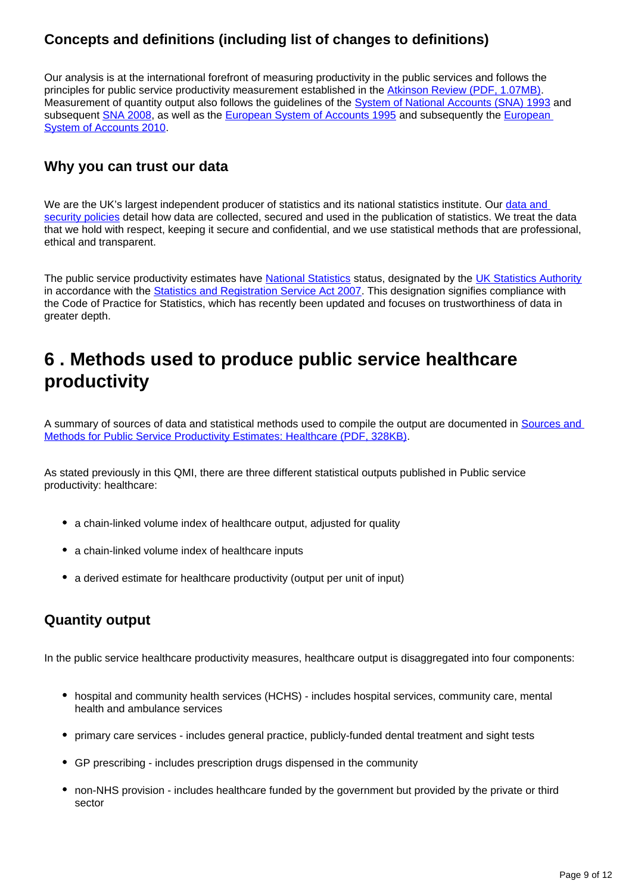### **Concepts and definitions (including list of changes to definitions)**

Our analysis is at the international forefront of measuring productivity in the public services and follows the principles for public service productivity measurement established in the [Atkinson Review \(PDF, 1.07MB\).](http://www.ons.gov.uk/ons/guide-method/method-quality/specific/public-sector-methodology/articles/atkinson-review-final-report.pdf) Measurement of quantity output also follows the guidelines of the **System of National Accounts (SNA) 1993** and subsequent **SNA 2008**, as well as the [European System of Accounts 1995](https://ec.europa.eu/eurostat/web/products-manuals-and-guidelines/-/CA-15-96-001) and subsequently the European [System of Accounts 2010](http://ec.europa.eu/eurostat/web/esa-2010).

#### **Why you can trust our data**

We are the UK's largest independent producer of statistics and its national statistics institute. Our data and [security policies](https://www.ons.gov.uk/aboutus/transparencyandgovernance/lookingafterandusingdataforpublicbenefit/policies) detail how data are collected, secured and used in the publication of statistics. We treat the data that we hold with respect, keeping it secure and confidential, and we use statistical methods that are professional, ethical and transparent.

The public service productivity estimates have [National Statistics](https://www.statisticsauthority.gov.uk/about-the-authority/uk-statistical-system/types-of-official-statistics/) status, designated by the [UK Statistics Authority](https://www.statisticsauthority.gov.uk/) in accordance with the [Statistics and Registration Service Act 2007.](https://www.legislation.gov.uk/ukpga/2007/18/contents) This designation signifies compliance with the Code of Practice for Statistics, which has recently been updated and focuses on trustworthiness of data in greater depth.

# <span id="page-8-0"></span>**6 . Methods used to produce public service healthcare productivity**

A summary of sources of data and statistical methods used to compile the output are documented in Sources and [Methods for Public Service Productivity Estimates: Healthcare \(PDF, 328KB\).](http://www.ons.gov.uk/ons/guide-method/method-quality/specific/public-sector-methodology/articles/public-service-productivity-estimates--healthcare.pdf)

As stated previously in this QMI, there are three different statistical outputs published in Public service productivity: healthcare:

- a chain-linked volume index of healthcare output, adjusted for quality
- a chain-linked volume index of healthcare inputs
- a derived estimate for healthcare productivity (output per unit of input)

#### **Quantity output**

In the public service healthcare productivity measures, healthcare output is disaggregated into four components:

- hospital and community health services (HCHS) includes hospital services, community care, mental health and ambulance services
- primary care services includes general practice, publicly-funded dental treatment and sight tests
- GP prescribing includes prescription drugs dispensed in the community
- non-NHS provision includes healthcare funded by the government but provided by the private or third sector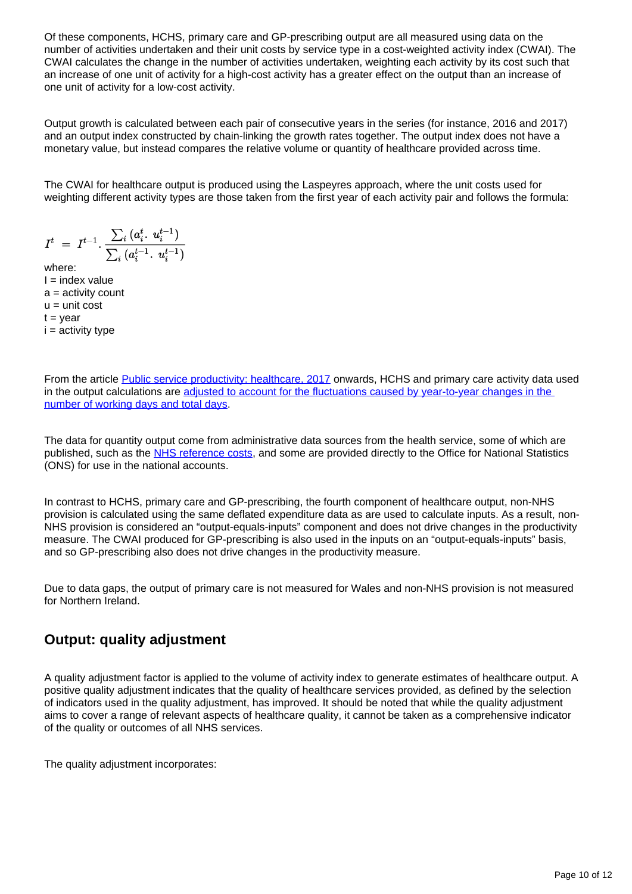Of these components, HCHS, primary care and GP-prescribing output are all measured using data on the number of activities undertaken and their unit costs by service type in a cost-weighted activity index (CWAI). The CWAI calculates the change in the number of activities undertaken, weighting each activity by its cost such that an increase of one unit of activity for a high-cost activity has a greater effect on the output than an increase of one unit of activity for a low-cost activity.

Output growth is calculated between each pair of consecutive years in the series (for instance, 2016 and 2017) and an output index constructed by chain-linking the growth rates together. The output index does not have a monetary value, but instead compares the relative volume or quantity of healthcare provided across time.

The CWAI for healthcare output is produced using the Laspeyres approach, where the unit costs used for weighting different activity types are those taken from the first year of each activity pair and follows the formula:

$$
I^t \;=\; I^{t-1} \cdot \frac{\sum_i \, (a_i^t \cdot \, u_i^{t-1})}{\sum_i \, (a_i^{t-1} \cdot \, u_i^{t-1})}
$$

where:  $I = index value$  $a =$  activity count  $u =$  unit cost  $t = year$  $i =$  activity type

From the article [Public service productivity: healthcare, 2017](https://www.ons.gov.uk/releases/publicserviceproductivityhealthcare2017) onwards, HCHS and primary care activity data used in the output calculations are [adjusted to account for the fluctuations caused by year-to-year changes in the](https://www.ons.gov.uk/economy/economicoutputandproductivity/publicservicesproductivity/methodologies/methodologicaldevelopmentstopublicserviceproductivityhealthcare2020update)  [number of working days and total days](https://www.ons.gov.uk/economy/economicoutputandproductivity/publicservicesproductivity/methodologies/methodologicaldevelopmentstopublicserviceproductivityhealthcare2020update).

The data for quantity output come from administrative data sources from the health service, some of which are published, such as the [NHS reference costs](https://improvement.nhs.uk/resources/reference-costs/), and some are provided directly to the Office for National Statistics (ONS) for use in the national accounts.

In contrast to HCHS, primary care and GP-prescribing, the fourth component of healthcare output, non-NHS provision is calculated using the same deflated expenditure data as are used to calculate inputs. As a result, non-NHS provision is considered an "output-equals-inputs" component and does not drive changes in the productivity measure. The CWAI produced for GP-prescribing is also used in the inputs on an "output-equals-inputs" basis, and so GP-prescribing also does not drive changes in the productivity measure.

Due to data gaps, the output of primary care is not measured for Wales and non-NHS provision is not measured for Northern Ireland.

### **Output: quality adjustment**

A quality adjustment factor is applied to the volume of activity index to generate estimates of healthcare output. A positive quality adjustment indicates that the quality of healthcare services provided, as defined by the selection of indicators used in the quality adjustment, has improved. It should be noted that while the quality adjustment aims to cover a range of relevant aspects of healthcare quality, it cannot be taken as a comprehensive indicator of the quality or outcomes of all NHS services.

The quality adjustment incorporates: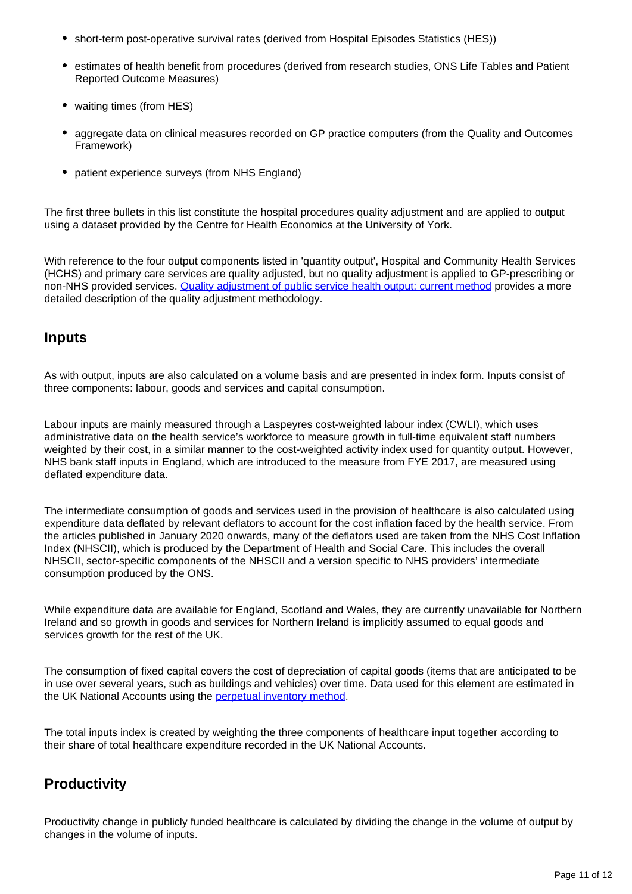- short-term post-operative survival rates (derived from Hospital Episodes Statistics (HES))
- **estimates of health benefit from procedures (derived from research studies, ONS Life Tables and Patient** Reported Outcome Measures)
- waiting times (from HES)
- aggregate data on clinical measures recorded on GP practice computers (from the Quality and Outcomes Framework)
- patient experience surveys (from NHS England)

The first three bullets in this list constitute the hospital procedures quality adjustment and are applied to output using a dataset provided by the Centre for Health Economics at the University of York.

With reference to the four output components listed in 'quantity output', Hospital and Community Health Services (HCHS) and primary care services are quality adjusted, but no quality adjustment is applied to GP-prescribing or non-NHS provided services. [Quality adjustment of public service health output: current method](http://www.ons.gov.uk/ons/guide-method/method-quality/specific/public-sector-methodology/articles/quality-adjustment-of-public-service-health-output--current-method.pdf) provides a more detailed description of the quality adjustment methodology.

#### **Inputs**

As with output, inputs are also calculated on a volume basis and are presented in index form. Inputs consist of three components: labour, goods and services and capital consumption.

Labour inputs are mainly measured through a Laspeyres cost-weighted labour index (CWLI), which uses administrative data on the health service's workforce to measure growth in full-time equivalent staff numbers weighted by their cost, in a similar manner to the cost-weighted activity index used for quantity output. However, NHS bank staff inputs in England, which are introduced to the measure from FYE 2017, are measured using deflated expenditure data.

The intermediate consumption of goods and services used in the provision of healthcare is also calculated using expenditure data deflated by relevant deflators to account for the cost inflation faced by the health service. From the articles published in January 2020 onwards, many of the deflators used are taken from the NHS Cost Inflation Index (NHSCII), which is produced by the Department of Health and Social Care. This includes the overall NHSCII, sector-specific components of the NHSCII and a version specific to NHS providers' intermediate consumption produced by the ONS.

While expenditure data are available for England, Scotland and Wales, they are currently unavailable for Northern Ireland and so growth in goods and services for Northern Ireland is implicitly assumed to equal goods and services growth for the rest of the UK.

The consumption of fixed capital covers the cost of depreciation of capital goods (items that are anticipated to be in use over several years, such as buildings and vehicles) over time. Data used for this element are estimated in the UK National Accounts using the **perpetual inventory method**.

The total inputs index is created by weighting the three components of healthcare input together according to their share of total healthcare expenditure recorded in the UK National Accounts.

### **Productivity**

Productivity change in publicly funded healthcare is calculated by dividing the change in the volume of output by changes in the volume of inputs.